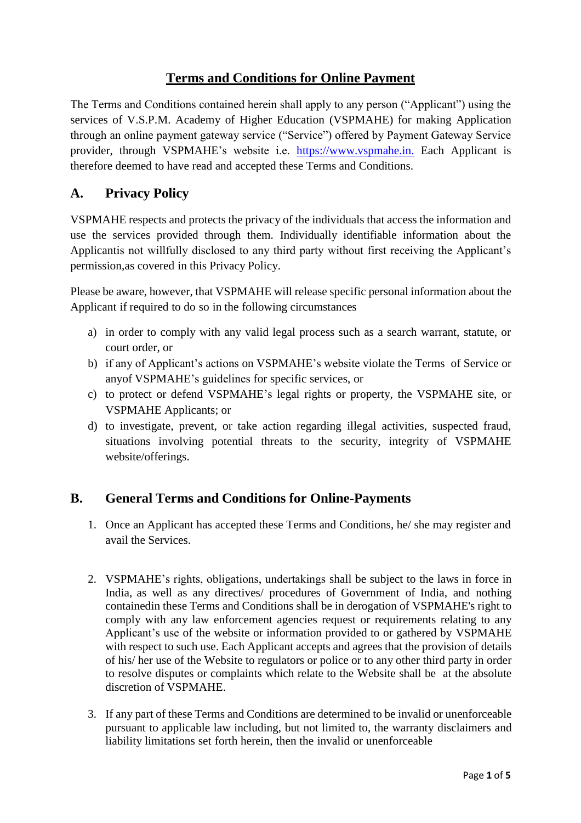# **Terms and Conditions for Online Payment**

The Terms and Conditions contained herein shall apply to any person ("Applicant") using the services of V.S.P.M. Academy of Higher Education (VSPMAHE) for making Application through an online payment gateway service ("Service") offered by Payment Gateway Service provider, through VSPMAHE's website i.e. [https://www.vspmahe.in.](https://www.vspmahe.in./) Each Applicant is therefore deemed to have read and accepted these Terms and Conditions.

# **A. Privacy Policy**

VSPMAHE respects and protects the privacy of the individuals that access the information and use the services provided through them. Individually identifiable information about the Applicantis not willfully disclosed to any third party without first receiving the Applicant's permission,as covered in this Privacy Policy.

Please be aware, however, that VSPMAHE will release specific personal information about the Applicant if required to do so in the following circumstances

- a) in order to comply with any valid legal process such as a search warrant, statute, or court order, or
- b) if any of Applicant's actions on VSPMAHE's website violate the Terms of Service or anyof VSPMAHE's guidelines for specific services, or
- c) to protect or defend VSPMAHE's legal rights or property, the VSPMAHE site, or VSPMAHE Applicants; or
- d) to investigate, prevent, or take action regarding illegal activities, suspected fraud, situations involving potential threats to the security, integrity of VSPMAHE website/offerings.

# **B. General Terms and Conditions for Online-Payments**

- 1. Once an Applicant has accepted these Terms and Conditions, he/ she may register and avail the Services.
- 2. VSPMAHE's rights, obligations, undertakings shall be subject to the laws in force in India, as well as any directives/ procedures of Government of India, and nothing containedin these Terms and Conditions shall be in derogation of VSPMAHE's right to comply with any law enforcement agencies request or requirements relating to any Applicant's use of the website or information provided to or gathered by VSPMAHE with respect to such use. Each Applicant accepts and agrees that the provision of details of his/ her use of the Website to regulators or police or to any other third party in order to resolve disputes or complaints which relate to the Website shall be at the absolute discretion of VSPMAHE.
- 3. If any part of these Terms and Conditions are determined to be invalid or unenforceable pursuant to applicable law including, but not limited to, the warranty disclaimers and liability limitations set forth herein, then the invalid or unenforceable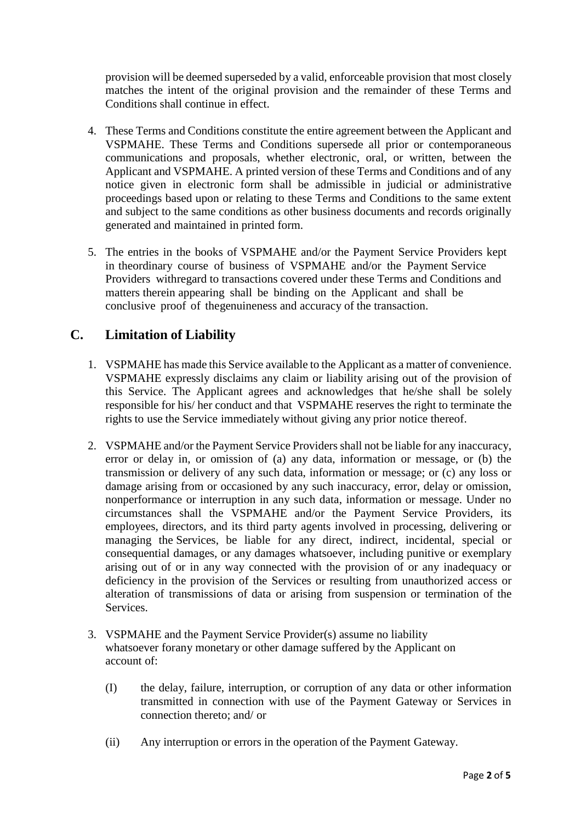provision will be deemed superseded by a valid, enforceable provision that most closely matches the intent of the original provision and the remainder of these Terms and Conditions shall continue in effect.

- 4. These Terms and Conditions constitute the entire agreement between the Applicant and VSPMAHE. These Terms and Conditions supersede all prior or contemporaneous communications and proposals, whether electronic, oral, or written, between the Applicant and VSPMAHE. A printed version of these Terms and Conditions and of any notice given in electronic form shall be admissible in judicial or administrative proceedings based upon or relating to these Terms and Conditions to the same extent and subject to the same conditions as other business documents and records originally generated and maintained in printed form.
- 5. The entries in the books of VSPMAHE and/or the Payment Service Providers kept in theordinary course of business of VSPMAHE and/or the Payment Service Providers withregard to transactions covered under these Terms and Conditions and matters therein appearing shall be binding on the Applicant and shall be conclusive proof of thegenuineness and accuracy of the transaction.

# **C. Limitation of Liability**

- 1. VSPMAHE has made this Service available to the Applicant as a matter of convenience. VSPMAHE expressly disclaims any claim or liability arising out of the provision of this Service. The Applicant agrees and acknowledges that he/she shall be solely responsible for his/ her conduct and that VSPMAHE reserves the right to terminate the rights to use the Service immediately without giving any prior notice thereof.
- 2. VSPMAHE and/or the Payment Service Providers shall not be liable for any inaccuracy, error or delay in, or omission of (a) any data, information or message, or (b) the transmission or delivery of any such data, information or message; or (c) any loss or damage arising from or occasioned by any such inaccuracy, error, delay or omission, nonperformance or interruption in any such data, information or message. Under no circumstances shall the VSPMAHE and/or the Payment Service Providers, its employees, directors, and its third party agents involved in processing, delivering or managing the Services, be liable for any direct, indirect, incidental, special or consequential damages, or any damages whatsoever, including punitive or exemplary arising out of or in any way connected with the provision of or any inadequacy or deficiency in the provision of the Services or resulting from unauthorized access or alteration of transmissions of data or arising from suspension or termination of the **Services**
- 3. VSPMAHE and the Payment Service Provider(s) assume no liability whatsoever forany monetary or other damage suffered by the Applicant on account of:
	- (I) the delay, failure, interruption, or corruption of any data or other information transmitted in connection with use of the Payment Gateway or Services in connection thereto; and/ or
	- (ii) Any interruption or errors in the operation of the Payment Gateway.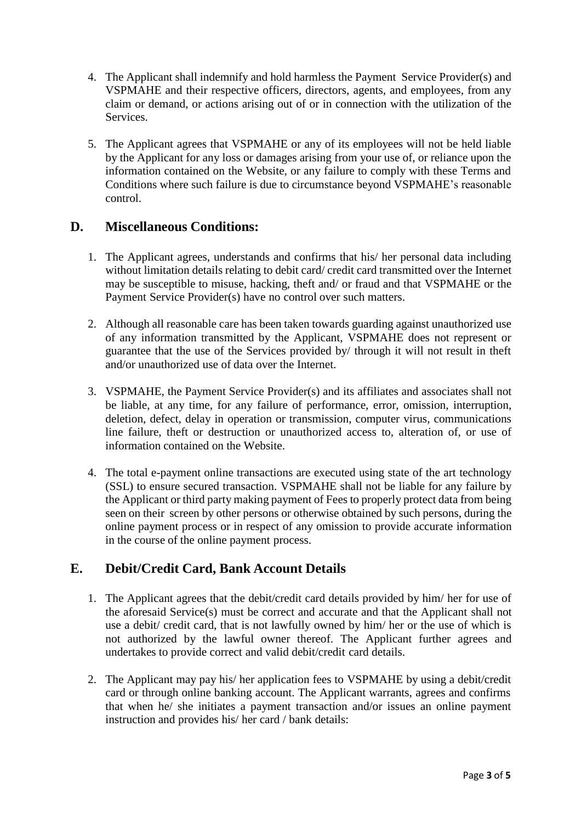- 4. The Applicant shall indemnify and hold harmless the Payment Service Provider(s) and VSPMAHE and their respective officers, directors, agents, and employees, from any claim or demand, or actions arising out of or in connection with the utilization of the Services.
- 5. The Applicant agrees that VSPMAHE or any of its employees will not be held liable by the Applicant for any loss or damages arising from your use of, or reliance upon the information contained on the Website, or any failure to comply with these Terms and Conditions where such failure is due to circumstance beyond VSPMAHE's reasonable control.

#### **D. Miscellaneous Conditions:**

- 1. The Applicant agrees, understands and confirms that his/ her personal data including without limitation details relating to debit card/ credit card transmitted over the Internet may be susceptible to misuse, hacking, theft and/ or fraud and that VSPMAHE or the Payment Service Provider(s) have no control over such matters.
- 2. Although all reasonable care has been taken towards guarding against unauthorized use of any information transmitted by the Applicant, VSPMAHE does not represent or guarantee that the use of the Services provided by/ through it will not result in theft and/or unauthorized use of data over the Internet.
- 3. VSPMAHE, the Payment Service Provider(s) and its affiliates and associates shall not be liable, at any time, for any failure of performance, error, omission, interruption, deletion, defect, delay in operation or transmission, computer virus, communications line failure, theft or destruction or unauthorized access to, alteration of, or use of information contained on the Website.
- 4. The total e-payment online transactions are executed using state of the art technology (SSL) to ensure secured transaction. VSPMAHE shall not be liable for any failure by the Applicant or third party making payment of Fees to properly protect data from being seen on their screen by other persons or otherwise obtained by such persons, during the online payment process or in respect of any omission to provide accurate information in the course of the online payment process.

# **E. Debit/Credit Card, Bank Account Details**

- 1. The Applicant agrees that the debit/credit card details provided by him/ her for use of the aforesaid Service(s) must be correct and accurate and that the Applicant shall not use a debit/ credit card, that is not lawfully owned by him/ her or the use of which is not authorized by the lawful owner thereof. The Applicant further agrees and undertakes to provide correct and valid debit/credit card details.
- 2. The Applicant may pay his/ her application fees to VSPMAHE by using a debit/credit card or through online banking account. The Applicant warrants, agrees and confirms that when he/ she initiates a payment transaction and/or issues an online payment instruction and provides his/ her card / bank details: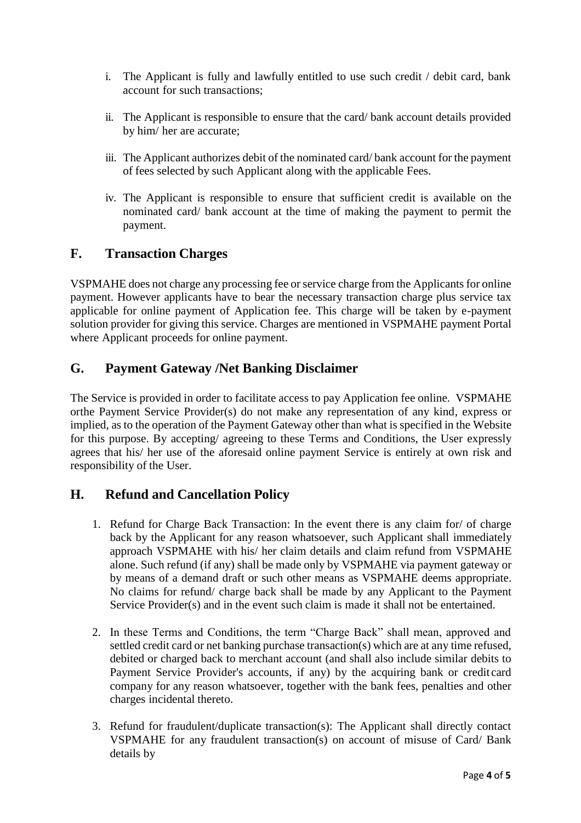- i. The Applicant is fully and lawfully entitled to use such credit / debit card, bank account for such transactions;
- ii. The Applicant is responsible to ensure that the card/ bank account details provided by him/ her are accurate;
- iii. The Applicant authorizes debit of the nominated card/ bank account for the payment of fees selected by such Applicant along with the applicable Fees.
- iv. The Applicant is responsible to ensure that sufficient credit is available on the nominated card/ bank account at the time of making the payment to permit the payment.

#### **F. Transaction Charges**

VSPMAHE does not charge any processing fee or service charge from the Applicants for online payment. However applicants have to bear the necessary transaction charge plus service tax applicable for online payment of Application fee. This charge will be taken by e-payment solution provider for giving this service. Charges are mentioned in VSPMAHE payment Portal where Applicant proceeds for online payment.

#### **G. Payment Gateway /Net Banking Disclaimer**

The Service is provided in order to facilitate access to pay Application fee online. VSPMAHE orthe Payment Service Provider(s) do not make any representation of any kind, express or implied, as to the operation of the Payment Gateway other than what is specified in the Website for this purpose. By accepting/ agreeing to these Terms and Conditions, the User expressly agrees that his/ her use of the aforesaid online payment Service is entirely at own risk and responsibility of the User.

#### **H. Refund and Cancellation Policy**

- 1. Refund for Charge Back Transaction: In the event there is any claim for/ of charge back by the Applicant for any reason whatsoever, such Applicant shall immediately approach VSPMAHE with his/ her claim details and claim refund from VSPMAHE alone. Such refund (if any) shall be made only by VSPMAHE via payment gateway or by means of a demand draft or such other means as VSPMAHE deems appropriate. No claims for refund/ charge back shall be made by any Applicant to the Payment Service Provider(s) and in the event such claim is made it shall not be entertained.
- 2. In these Terms and Conditions, the term "Charge Back" shall mean, approved and settled credit card or net banking purchase transaction(s) which are at any time refused, debited or charged back to merchant account (and shall also include similar debits to Payment Service Provider's accounts, if any) by the acquiring bank or credit card company for any reason whatsoever, together with the bank fees, penalties and other charges incidental thereto.
- 3. Refund for fraudulent/duplicate transaction(s): The Applicant shall directly contact VSPMAHE for any fraudulent transaction(s) on account of misuse of Card/ Bank details by